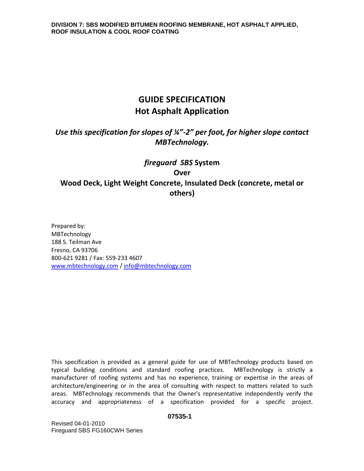# **GUIDE SPECIFICATION Hot Asphalt Application**

*Use this specification for slopes of ¼"-2" per foot, for higher slope contact MBTechnology.*

# *fireguard SBS* **System Over Wood Deck, Light Weight Concrete, Insulated Deck (concrete, metal or others)**

Prepared by: MBTechnology 188 S. Teilman Ave Fresno, CA 93706 800-621 9281 / Fax: 559-233 4607 [www.mbtechnology.com](http://www.mbtechnology.com/) / [info@mbtechnology.com](mailto:info@mbtechnology.com)

This specification is provided as a general guide for use of MBTechnology products based on typical building conditions and standard roofing practices. MBTechnology is strictly a manufacturer of roofing systems and has no experience, training or expertise in the areas of architecture/engineering or in the area of consulting with respect to matters related to such areas. MBTechnology recommends that the Owner's representative independently verify the accuracy and appropriateness of a specification provided for a specific project.

#### **07535-1**

Revised 04-01-2010 Fireguard SBS FG160CWH Series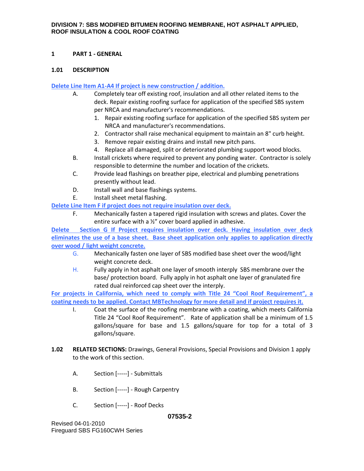# **1 PART 1 - GENERAL**

### **1.01 DESCRIPTION**

# **Delete Line Item A1-A4 If project is new construction / addition.**

- A. Completely tear off existing roof, insulation and all other related items to the deck. Repair existing roofing surface for application of the specified SBS system per NRCA and manufacturer's recommendations.
	- 1. Repair existing roofing surface for application of the specified SBS system per NRCA and manufacturer's recommendations.
	- 2. Contractor shall raise mechanical equipment to maintain an 8" curb height.
	- 3. Remove repair existing drains and install new pitch pans.
	- 4. Replace all damaged, split or deteriorated plumbing support wood blocks.
- B. Install crickets where required to prevent any ponding water. Contractor is solely responsible to determine the number and location of the crickets.
- C. Provide lead flashings on breather pipe, electrical and plumbing penetrations presently without lead.
- D. Install wall and base flashings systems.
- E. Install sheet metal flashing.

**Delete Line Item F if project does not require insulation over deck.**

F. Mechanically fasten a tapered rigid insulation with screws and plates. Cover the entire surface with a ½" cover board applied in adhesive.

**Delete Section G If Project requires insulation over deck. Having insulation over deck eliminates the use of a base sheet. Base sheet application only applies to application directly over wood / light weight concrete.**

- G. Mechanically fasten one layer of SBS modified base sheet over the wood/light weight concrete deck.
- H. Fully apply in hot asphalt one layer of smooth interply SBS membrane over the base/ protection board. Fully apply in hot asphalt one layer of granulated fire rated dual reinforced cap sheet over the interply.

**For projects in California, which need to comply with Title 24 "Cool Roof Requirement", a coating needs to be applied. Contact MBTechnology for more detail and if project requires it.**

- I. Coat the surface of the roofing membrane with a coating, which meets California Title 24 "Cool Roof Requirement". Rate of application shall be a minimum of 1.5 gallons/square for base and 1.5 gallons/square for top for a total of 3 gallons/square.
- **1.02 RELATED SECTIONS:** Drawings, General Provisions, Special Provisions and Division 1 apply to the work of this section.
	- A. Section [-----] Submittals
	- B. Section [-----] Rough Carpentry
	- C. Section [-----] Roof Decks

### **07535-2**

Revised 04-01-2010 Fireguard SBS FG160CWH Series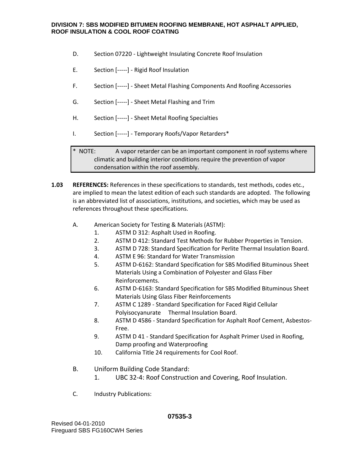- D. Section 07220 Lightweight Insulating Concrete Roof Insulation
- E. Section [-----] Rigid Roof Insulation
- F. Section [-----] Sheet Metal Flashing Components And Roofing Accessories
- G. Section [-----] Sheet Metal Flashing and Trim
- H. Section [-----] Sheet Metal Roofing Specialties
- I. Section [-----] Temporary Roofs/Vapor Retarders\*

\* NOTE: A vapor retarder can be an important component in roof systems where climatic and building interior conditions require the prevention of vapor condensation within the roof assembly.

- **1.03 REFERENCES:** References in these specifications to standards, test methods, codes etc., are implied to mean the latest edition of each such standards are adopted. The following is an abbreviated list of associations, institutions, and societies, which may be used as references throughout these specifications.
	- A. American Society for Testing & Materials (ASTM):
		- 1. ASTM D 312: Asphalt Used in Roofing.
		- 2. ASTM D 412: Standard Test Methods for Rubber Properties in Tension.
		- 3. ASTM D 728: Standard Specification for Perlite Thermal Insulation Board.
		- 4. ASTM E 96: Standard for Water Transmission
		- 5. ASTM D-6162: Standard Specification for SBS Modified Bituminous Sheet Materials Using a Combination of Polyester and Glass Fiber Reinforcements.
		- 6. ASTM D-6163: Standard Specification for SBS Modified Bituminous Sheet Materials Using Glass Fiber Reinforcements
		- 7. ASTM C 1289 Standard Specification for Faced Rigid Cellular Polyisocyanurate Thermal Insulation Board.
		- 8. ASTM D 4586 Standard Specification for Asphalt Roof Cement, Asbestos-Free.
		- 9. ASTM D 41 Standard Specification for Asphalt Primer Used in Roofing, Damp proofing and Waterproofing
		- 10. California Title 24 requirements for Cool Roof.
	- B. Uniform Building Code Standard:
		- 1. UBC 32-4: Roof Construction and Covering, Roof Insulation.
	- C. Industry Publications: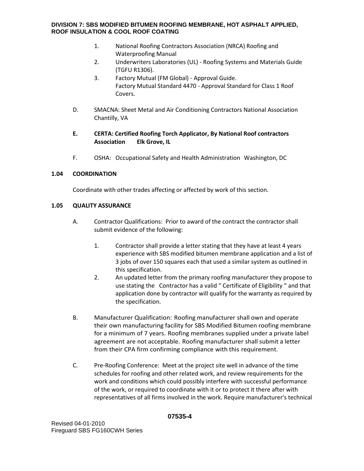- 1. National Roofing Contractors Association (NRCA) Roofing and Waterproofing Manual
- 2. Underwriters Laboratories (UL) Roofing Systems and Materials Guide (TGFU R1306).
- 3. Factory Mutual (FM Global) Approval Guide. Factory Mutual Standard 4470 - Approval Standard for Class 1 Roof Covers.
- D. SMACNA: Sheet Metal and Air Conditioning Contractors National Association Chantilly, VA

# **E. CERTA: Certified Roofing Torch Applicator, By National Roof contractors Association Elk Grove, IL**

F. OSHA: Occupational Safety and Health Administration Washington, DC

# **1.04 COORDINATION**

Coordinate with other trades affecting or affected by work of this section.

# **1.05 QUALITY ASSURANCE**

- A. Contractor Qualifications: Prior to award of the contract the contractor shall submit evidence of the following:
	- 1. Contractor shall provide a letter stating that they have at least 4 years experience with SBS modified bitumen membrane application and a list of 3 jobs of over 150 squares each that used a similar system as outlined in this specification.
	- 2. An updated letter from the primary roofing manufacturer they propose to use stating the Contractor has a valid " Certificate of Eligibility " and that application done by contractor will qualify for the warranty as required by the specification.
- B. Manufacturer Qualification: Roofing manufacturer shall own and operate their own manufacturing facility for SBS Modified Bitumen roofing membrane for a minimum of 7 years. Roofing membranes supplied under a private label agreement are not acceptable. Roofing manufacturer shall submit a letter from their CPA firm confirming compliance with this requirement.
- C. Pre-Roofing Conference: Meet at the project site well in advance of the time schedules for roofing and other related work, and review requirements for the work and conditions which could possibly interfere with successful performance of the work, or required to coordinate with it or to protect it there after with representatives of all firms involved in the work. Require manufacturer's technical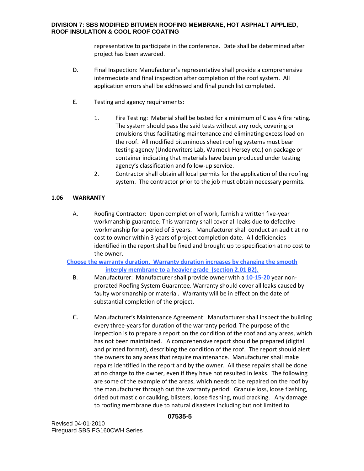representative to participate in the conference. Date shall be determined after project has been awarded.

- D. Final Inspection: Manufacturer's representative shall provide a comprehensive intermediate and final inspection after completion of the roof system. All application errors shall be addressed and final punch list completed.
- E. Testing and agency requirements:
	- 1. Fire Testing: Material shall be tested for a minimum of Class A fire rating. The system should pass the said tests without any rock, covering or emulsions thus facilitating maintenance and eliminating excess load on the roof. All modified bituminous sheet roofing systems must bear testing agency (Underwriters Lab, Warnock Hersey etc.) on package or container indicating that materials have been produced under testing agency's classification and follow-up service.
	- 2. Contractor shall obtain all local permits for the application of the roofing system. The contractor prior to the job must obtain necessary permits.

# **1.06 WARRANTY**

A. Roofing Contractor: Upon completion of work, furnish a written five-year workmanship guarantee. This warranty shall cover all leaks due to defective workmanship for a period of 5 years. Manufacturer shall conduct an audit at no cost to owner within 3 years of project completion date. All deficiencies identified in the report shall be fixed and brought up to specification at no cost to the owner.

**Choose the warranty duration. Warranty duration increases by changing the smooth interply membrane to a heavier grade (section 2.01 B2).**

- B. Manufacturer: Manufacturer shall provide owner with a **10-15-20** year nonprorated Roofing System Guarantee. Warranty should cover all leaks caused by faulty workmanship or material. Warranty will be in effect on the date of substantial completion of the project.
- C. Manufacturer's Maintenance Agreement: Manufacturer shall inspect the building every three-years for duration of the warranty period. The purpose of the inspection is to prepare a report on the condition of the roof and any areas, which has not been maintained. A comprehensive report should be prepared (digital and printed format), describing the condition of the roof. The report should alert the owners to any areas that require maintenance. Manufacturer shall make repairs identified in the report and by the owner. All these repairs shall be done at no charge to the owner, even if they have not resulted in leaks. The following are some of the example of the areas, which needs to be repaired on the roof by the manufacturer through out the warranty period: Granule loss, loose flashing, dried out mastic or caulking, blisters, loose flashing, mud cracking. Any damage to roofing membrane due to natural disasters including but not limited to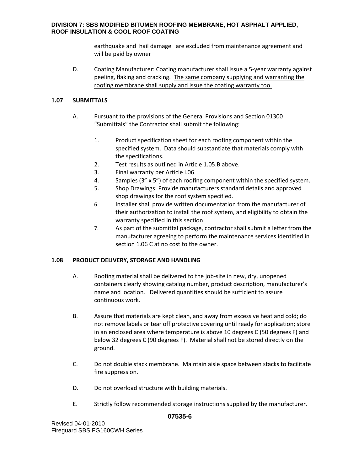earthquake and hail damage are excluded from maintenance agreement and will be paid by owner

D. Coating Manufacturer: Coating manufacturer shall issue a 5-year warranty against peeling, flaking and cracking. The same company supplying and warranting the roofing membrane shall supply and issue the coating warranty too.

# **1.07 SUBMITTALS**

- A. Pursuant to the provisions of the General Provisions and Section 01300 "Submittals" the Contractor shall submit the following:
	- 1. Product specification sheet for each roofing component within the specified system. Data should substantiate that materials comply with the specifications.
	- 2. Test results as outlined in Article 1.05.B above.
	- 3. Final warranty per Article l.06.
	- 4. Samples (3" x 5") of each roofing component within the specified system.
	- 5. Shop Drawings: Provide manufacturers standard details and approved shop drawings for the roof system specified.
	- 6. Installer shall provide written documentation from the manufacturer of their authorization to install the roof system, and eligibility to obtain the warranty specified in this section.
	- 7. As part of the submittal package, contractor shall submit a letter from the manufacturer agreeing to perform the maintenance services identified in section 1.06 C at no cost to the owner.

# **1.08 PRODUCT DELIVERY, STORAGE AND HANDLING**

- A. Roofing material shall be delivered to the job-site in new, dry, unopened containers clearly showing catalog number, product description, manufacturer's name and location. Delivered quantities should be sufficient to assure continuous work.
- B. Assure that materials are kept clean, and away from excessive heat and cold; do not remove labels or tear off protective covering until ready for application; store in an enclosed area where temperature is above 10 degrees C (50 degrees F) and below 32 degrees C (90 degrees F). Material shall not be stored directly on the ground.
- C. Do not double stack membrane. Maintain aisle space between stacks to facilitate fire suppression.
- D. Do not overload structure with building materials.
- E. Strictly follow recommended storage instructions supplied by the manufacturer.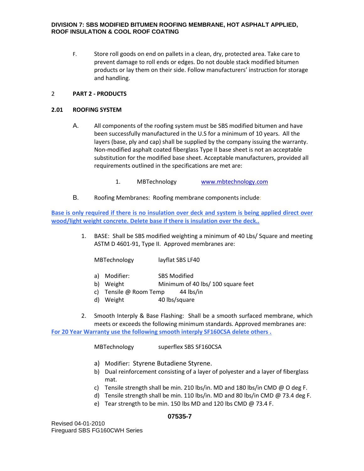F. Store roll goods on end on pallets in a clean, dry, protected area. Take care to prevent damage to roll ends or edges. Do not double stack modified bitumen products or lay them on their side. Follow manufacturers' instruction for storage and handling.

# 2 **PART 2 - PRODUCTS**

### **2.01 ROOFING SYSTEM**

- A. All components of the roofing system must be SBS modified bitumen and have been successfully manufactured in the U.S for a minimum of 10 years. All the layers (base, ply and cap) shall be supplied by the company issuing the warranty. Non-modified asphalt coated fiberglass Type II base sheet is not an acceptable substitution for the modified base sheet. Acceptable manufacturers, provided all requirements outlined in the specifications are met are:
	- 1. MBTechnology [www.mbtechnology.com](http://www.mbtechnology.com/)
- B. Roofing Membranes: Roofing membrane components include:

**Base is only required if there is no insulation over deck and system is being applied direct over wood/light weight concrete. Delete base if there is insulation over the deck..** 

> 1. BASE: Shall be SBS modified weighting a minimum of 40 Lbs/ Square and meeting ASTM D 4601-91, Type II. Approved membranes are:

MBTechnology layflat SBS LF40

- a) Modifier: SBS Modified
- b) Weight Minimum of 40 lbs/ 100 square feet
- c) Tensile @ Room Temp 44 lbs/in
- d) Weight 40 lbs/square
- 2. Smooth Interply & Base Flashing: Shall be a smooth surfaced membrane, which meets or exceeds the following minimum standards. Approved membranes are:

**For 20 Year Warranty use the following smooth interply SF160CSA delete others .** 

MBTechnology superflex SBS SF160CSA

- a) Modifier: Styrene Butadiene Styrene.
- b) Dual reinforcement consisting of a layer of polyester and a layer of fiberglass mat.
- c) Tensile strength shall be min. 210 lbs/in. MD and 180 lbs/in CMD @ O deg F.
- d) Tensile strength shall be min. 110 lbs/in. MD and 80 lbs/in CMD @ 73.4 deg F.
- e) Tear strength to be min. 150 lbs MD and 120 lbs CMD @ 73.4 F.

Revised 04-01-2010 Fireguard SBS FG160CWH Series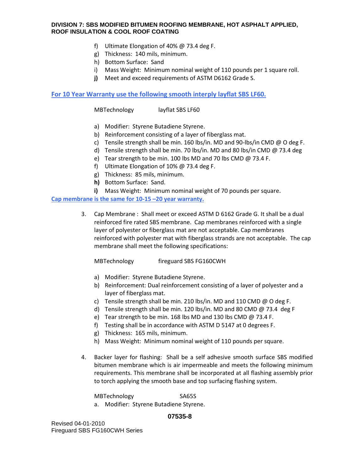- f) Ultimate Elongation of 40% @ 73.4 deg F.
- g) Thickness: 140 mils, minimum.
- h) Bottom Surface: Sand
- i) Mass Weight: Minimum nominal weight of 110 pounds per 1 square roll.
- **j)** Meet and exceed requirements of ASTM D6162 Grade S.

**For 10 Year Warranty use the following smooth interply layflat SBS LF60.** 

MBTechnology layflat SBS LF60

- a) Modifier: Styrene Butadiene Styrene.
- b) Reinforcement consisting of a layer of fiberglass mat.
- c) Tensile strength shall be min. 160 lbs/in. MD and 90-lbs/in CMD @ O deg F.
- d) Tensile strength shall be min. 70 lbs/in. MD and 80 lbs/in CMD @ 73.4 deg
- e) Tear strength to be min. 100 lbs MD and 70 lbs CMD @ 73.4 F.
- f) Ultimate Elongation of 10% @ 73.4 deg F.
- g) Thickness: 85 mils, minimum.
- **h)** Bottom Surface: Sand.
- **i)** Mass Weight: Minimum nominal weight of 70 pounds per square.

**Cap membrane is the same for 10-15 –20 year warranty.** 

3. Cap Membrane : Shall meet or exceed ASTM D 6162 Grade G. It shall be a dual reinforced fire rated SBS membrane. Cap membranes reinforced with a single layer of polyester or fiberglass mat are not acceptable. Cap membranes reinforced with polyester mat with fiberglass strands are not acceptable. The cap membrane shall meet the following specifications:

MBTechnology fireguard SBS FG160CWH

- a) Modifier: Styrene Butadiene Styrene.
- b) Reinforcement: Dual reinforcement consisting of a layer of polyester and a layer of fiberglass mat.
- c) Tensile strength shall be min. 210 lbs/in. MD and 110 CMD @ O deg F.
- d) Tensile strength shall be min. 120 lbs/in. MD and 80 CMD @ 73.4 deg F
- e) Tear strength to be min. 168 lbs MD and 130 lbs CMD @ 73.4 F.
- f) Testing shall be in accordance with ASTM D 5147 at 0 degrees F.
- g) Thickness: 165 mils, minimum.
- h) Mass Weight: Minimum nominal weight of 110 pounds per square.
- 4. Backer layer for flashing: Shall be a self adhesive smooth surface SBS modified bitumen membrane which is air impermeable and meets the following minimum requirements. This membrane shall be incorporated at all flashing assembly prior to torch applying the smooth base and top surfacing flashing system.

MBTechnology SA65S a. Modifier: Styrene Butadiene Styrene.

### **07535-8**

Revised 04-01-2010 Fireguard SBS FG160CWH Series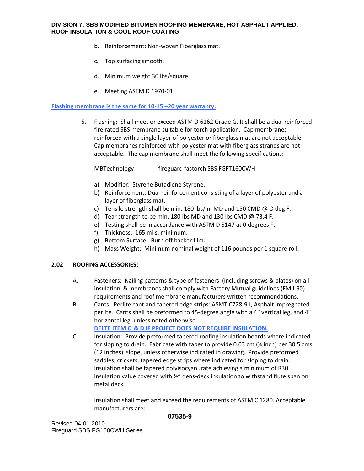- b. Reinforcement: Non-woven Fiberglass mat.
- c. Top surfacing smooth,
- d. Minimum weight 30 lbs/square.
- e. Meeting ASTM D 1970-01

### **Flashing membrane is the same for 10-15 –20 year warranty.**

5. Flashing: Shall meet or exceed ASTM D 6162 Grade G. It shall be a dual reinforced fire rated SBS membrane suitable for torch application. Cap membranes reinforced with a single layer of polyester or fiberglass mat are not acceptable. Cap membranes reinforced with polyester mat with fiberglass strands are not acceptable. The cap membrane shall meet the following specifications:

MBTechnology fireguard fastorch SBS FGFT160CWH

- a) Modifier: Styrene Butadiene Styrene.
- b) Reinforcement: Dual reinforcement consisting of a layer of polyester and a layer of fiberglass mat.
- c) Tensile strength shall be min. 180 lbs/in. MD and 150 CMD @ O deg F.
- d) Tear strength to be min. 180 lbs MD and 130 lbs CMD  $\omega$  73.4 F.
- e) Testing shall be in accordance with ASTM D 5147 at 0 degrees F.
- f) Thickness: 165 mils, minimum.
- g) Bottom Surface: Burn off backer film.
- h) Mass Weight: Minimum nominal weight of 116 pounds per 1 square roll.

### **2.02 ROOFING ACCESSORIES:**

- A. Fasteners: Nailing patterns & type of fasteners (including screws & plates) on all insulation & membranes shall comply with Factory Mutual guidelines (FM I-90) requirements and roof membrane manufacturers written recommendations.
- B. Cants: Perlite cant and tapered edge strips: ASMT C728-91, Asphalt impregnated perlite. Cants shall be preformed to 45-degree angle with a 4" vertical leg, and 4" horizontal leg, unless noted otherwise.

**DELTE ITEM C & D IF PROJECT DOES NOT REQUIRE INSULATION.** 

C. Insulation: Provide preformed tapered roofing insulation boards where indicated for sloping to drain. Fabricate with taper to provide 0.63 cm (¼ inch) per 30.5 cms (12 inches) slope, unless otherwise indicated in drawing. Provide preformed saddles, crickets, tapered edge strips where indicated for sloping to drain. Insulation shall be tapered polyisocyanurate achieving a minimum of R30 insulation value covered with ½" dens-deck insulation to withstand flute span on metal deck..

Insulation shall meet and exceed the requirements of ASTM C 1280. Acceptable manufacturers are: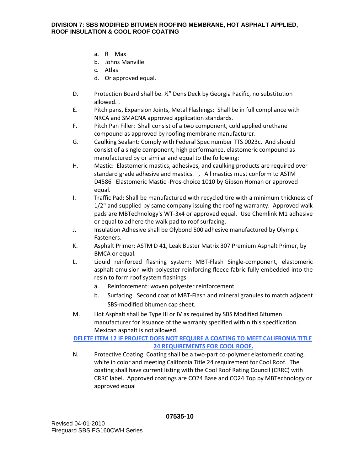- a.  $R Max$
- b. Johns Manville
- c. Atlas
- d. Or approved equal.
- D. Protection Board shall be. 1/2" Dens Deck by Georgia Pacific, no substitution allowed. .
- E. Pitch pans, Expansion Joints, Metal Flashings: Shall be in full compliance with NRCA and SMACNA approved application standards.
- F. Pitch Pan Filler: Shall consist of a two component, cold applied urethane compound as approved by roofing membrane manufacturer.
- G. Caulking Sealant: Comply with Federal Spec number TTS 0023c. And should consist of a single component, high performance, elastomeric compound as manufactured by or similar and equal to the following:
- H. Mastic: Elastomeric mastics, adhesives, and caulking products are required over standard grade adhesive and mastics. , All mastics must conform to ASTM D4586 Elastomeric Mastic -Pros-choice 1010 by Gibson Homan or approved equal.
- I. Traffic Pad: Shall be manufactured with recycled tire with a minimum thickness of 1/2" and supplied by same company issuing the roofing warranty. Approved walk pads are MBTechnology's WT-3x4 or approved equal. Use Chemlink M1 adhesive or equal to adhere the walk pad to roof surfacing.
- J. Insulation Adhesive shall be Olybond 500 adhesive manufactured by Olympic Fasteners.
- K. Asphalt Primer: ASTM D 41, Leak Buster Matrix 307 Premium Asphalt Primer, by BMCA or equal.
- L. Liquid reinforced flashing system: MBT-Flash Single-component, elastomeric asphalt emulsion with polyester reinforcing fleece fabric fully embedded into the resin to form roof system flashings.
	- a. Reinforcement: woven polyester reinforcement.
	- b. Surfacing: Second coat of MBT-Flash and mineral granules to match adjacent SBS-modified bitumen cap sheet.
- M. Hot Asphalt shall be Type III or IV as required by SBS Modified Bitumen manufacturer for issuance of the warranty specified within this specification. Mexican asphalt is not allowed.

# **DELETE ITEM 12 IF PROJECT DOES NOT REQUIRE A COATING TO MEET CALIFRONIA TITLE 24 REQUIREMENTS FOR COOL ROOF.**

N. Protective Coating: Coating shall be a two-part co-polymer elastomeric coating, white in color and meeting California Title 24 requirement for Cool Roof. The coating shall have current listing with the Cool Roof Rating Council (CRRC) with CRRC label. Approved coatings are CO24 Base and CO24 Top by MBTechnology or approved equal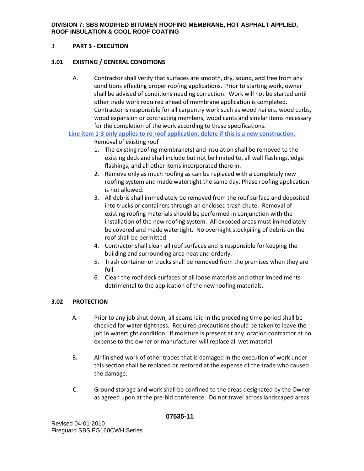### 3 **PART 3 - EXECUTION**

### **3.01 EXISTING / GENERAL CONDITIONS**

A. Contractor shall verify that surfaces are smooth, dry, sound, and free from any conditions effecting proper roofing applications. Prior to starting work, owner shall be advised of conditions needing correction. Work will not be started until other trade work required ahead of membrane application is completed. Contractor is responsible for all carpentry work such as wood nailers, wood curbs, wood expansion or contracting members, wood cants and similar items necessary for the completion of the work according to these specifications.

**Line item 1-3 only applies to re-roof application, delete if this is a new construction.**

Removal of existing roof

- 1. The existing roofing membrane(s) and insulation shall be removed to the existing deck and shall include but not be limited to, all wall flashings, edge flashings, and all other items incorporated there in.
- 2. Remove only as much roofing as can be replaced with a completely new roofing system and made watertight the same day. Phase roofing application is not allowed.
- 3. All debris shall immediately be removed from the roof surface and deposited into trucks or containers through an enclosed trash chute. Removal of existing roofing materials should be performed in conjunction with the installation of the new roofing system. All exposed areas must immediately be covered and made watertight. No overnight stockpiling of debris on the roof shall be permitted.
- 4. Contractor shall clean all roof surfaces and is responsible for keeping the building and surrounding area neat and orderly.
- 5. Trash container or trucks shall be removed from the premises when they are full.
- 6. Clean the roof deck surfaces of all loose materials and other impediments detrimental to the application of the new roofing materials.

### **3.02 PROTECTION**

- A. Prior to any job shut-down, all seams laid in the preceding time period shall be checked for water tightness. Required precautions should be taken to leave the job in watertight condition. If moisture is present at any location contractor at no expense to the owner or manufacturer will replace all wet material.
- B. All finished work of other trades that is damaged in the execution of work under this section shall be replaced or restored at the expense of the trade who caused the damage.
- C. Ground storage and work shall be confined to the areas designated by the Owner as agreed upon at the pre-bid conference. Do not travel across landscaped areas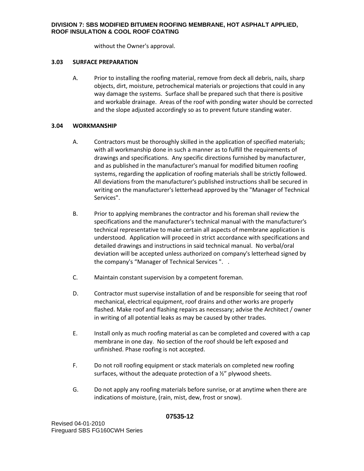without the Owner's approval.

### **3.03 SURFACE PREPARATION**

A. Prior to installing the roofing material, remove from deck all debris, nails, sharp objects, dirt, moisture, petrochemical materials or projections that could in any way damage the systems. Surface shall be prepared such that there is positive and workable drainage. Areas of the roof with ponding water should be corrected and the slope adjusted accordingly so as to prevent future standing water.

# **3.04 WORKMANSHIP**

- A. Contractors must be thoroughly skilled in the application of specified materials; with all workmanship done in such a manner as to fulfill the requirements of drawings and specifications. Any specific directions furnished by manufacturer, and as published in the manufacturer's manual for modified bitumen roofing systems, regarding the application of roofing materials shall be strictly followed. All deviations from the manufacturer's published instructions shall be secured in writing on the manufacturer's letterhead approved by the "Manager of Technical Services".
- B. Prior to applying membranes the contractor and his foreman shall review the specifications and the manufacturer's technical manual with the manufacturer's technical representative to make certain all aspects of membrane application is understood. Application will proceed in strict accordance with specifications and detailed drawings and instructions in said technical manual. No verbal/oral deviation will be accepted unless authorized on company's letterhead signed by the company's "Manager of Technical Services ". .
- C. Maintain constant supervision by a competent foreman.
- D. Contractor must supervise installation of and be responsible for seeing that roof mechanical, electrical equipment, roof drains and other works are properly flashed. Make roof and flashing repairs as necessary; advise the Architect / owner in writing of all potential leaks as may be caused by other trades.
- E. Install only as much roofing material as can be completed and covered with a cap membrane in one day. No section of the roof should be left exposed and unfinished. Phase roofing is not accepted.
- F. Do not roll roofing equipment or stack materials on completed new roofing surfaces, without the adequate protection of a ½" plywood sheets.
- G. Do not apply any roofing materials before sunrise, or at anytime when there are indications of moisture, (rain, mist, dew, frost or snow).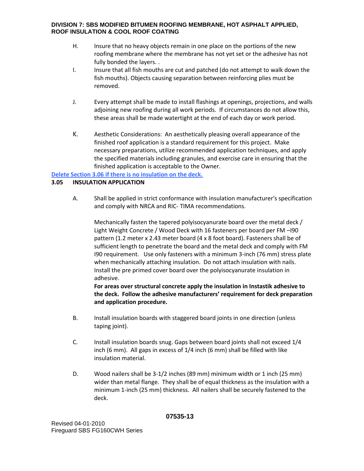- H. Insure that no heavy objects remain in one place on the portions of the new roofing membrane where the membrane has not yet set or the adhesive has not fully bonded the layers. .
- I. Insure that all fish mouths are cut and patched (do not attempt to walk down the fish mouths). Objects causing separation between reinforcing plies must be removed.
- J. Every attempt shall be made to install flashings at openings, projections, and walls adjoining new roofing during all work periods. If circumstances do not allow this, these areas shall be made watertight at the end of each day or work period.
- K. Aesthetic Considerations: An aesthetically pleasing overall appearance of the finished roof application is a standard requirement for this project. Make necessary preparations, utilize recommended application techniques, and apply the specified materials including granules, and exercise care in ensuring that the finished application is acceptable to the Owner.

# **Delete Section 3.06 if there is no insulation on the deck.**

### **3.05 INSULATION APPLICATION**

A. Shall be applied in strict conformance with insulation manufacturer's specification and comply with NRCA and RIC- TIMA recommendations.

Mechanically fasten the tapered polyisocyanurate board over the metal deck / Light Weight Concrete / Wood Deck with 16 fasteners per board per FM –I90 pattern (1.2 meter x 2.43 meter board (4 x 8 foot board). Fasteners shall be of sufficient length to penetrate the board and the metal deck and comply with FM I90 requirement. Use only fasteners with a minimum 3-inch (76 mm) stress plate when mechanically attaching insulation. Do not attach insulation with nails. Install the pre primed cover board over the polyisocyanurate insulation in adhesive.

**For areas over structural concrete apply the insulation in Instastik adhesive to the deck. Follow the adhesive manufacturers' requirement for deck preparation and application procedure.** 

- B. Install insulation boards with staggered board joints in one direction (unless taping joint).
- C. Install insulation boards snug. Gaps between board joints shall not exceed 1/4 inch (6 mm). All gaps in excess of 1/4 inch (6 mm) shall be filled with like insulation material.
- D. Wood nailers shall be 3-1/2 inches (89 mm) minimum width or 1 inch (25 mm) wider than metal flange. They shall be of equal thickness as the insulation with a minimum 1-inch (25 mm) thickness. All nailers shall be securely fastened to the deck.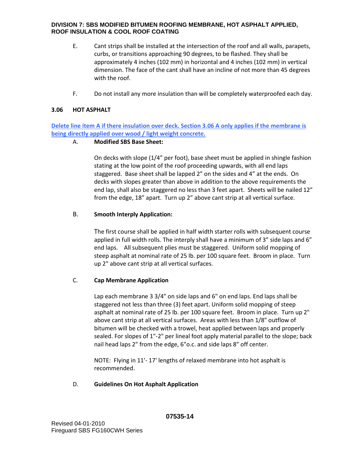- E. Cant strips shall be installed at the intersection of the roof and all walls, parapets, curbs, or transitions approaching 90 degrees, to be flashed. They shall be approximately 4 inches (102 mm) in horizontal and 4 inches (102 mm) in vertical dimension. The face of the cant shall have an incline of not more than 45 degrees with the roof.
- F. Do not install any more insulation than will be completely waterproofed each day.

# **3.06 HOT ASPHALT**

**Delete line item A if there insulation over deck. Section 3.06 A only applies if the membrane is being directly applied over wood / light weight concrete.** 

# A. **Modified SBS Base Sheet:**

On decks with slope (1/4" per foot), base sheet must be applied in shingle fashion stating at the low point of the roof proceeding upwards, with all end laps staggered. Base sheet shall be lapped 2" on the sides and 4" at the ends. On decks with slopes greater than above in addition to the above requirements the end lap, shall also be staggered no less than 3 feet apart. Sheets will be nailed 12" from the edge, 18" apart. Turn up 2" above cant strip at all vertical surface.

# B. **Smooth Interply Application:**

The first course shall be applied in half width starter rolls with subsequent course applied in full width rolls. The interply shall have a minimum of 3" side laps and 6" end laps. All subsequent plies must be staggered. Uniform solid mopping of steep asphalt at nominal rate of 25 lb. per 100 square feet. Broom in place. Turn up 2" above cant strip at all vertical surfaces.

### C. **Cap Membrane Application**

Lap each membrane 3 3/4" on side laps and 6" on end laps. End laps shall be staggered not less than three (3) feet apart. Uniform solid mopping of steep asphalt at nominal rate of 25 lb. per 100 square feet. Broom in place. Turn up 2" above cant strip at all vertical surfaces. Areas with less than 1/8" outflow of bitumen will be checked with a trowel, heat applied between laps and properly sealed. For slopes of 1"-2" per lineal foot apply material parallel to the slope; back nail head laps 2" from the edge, 6"o.c. and side laps 8" off center.

NOTE: Flying in 11'- 17' lengths of relaxed membrane into hot asphalt is recommended.

### D. **Guidelines On Hot Asphalt Application**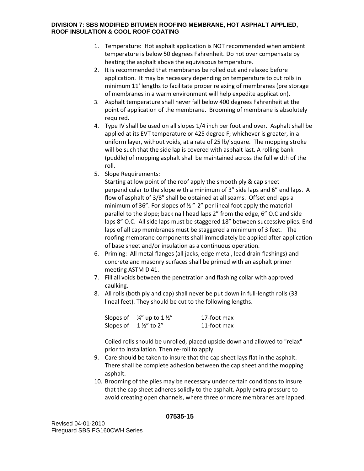- 1. Temperature: Hot asphalt application is NOT recommended when ambient temperature is below 50 degrees Fahrenheit. Do not over compensate by heating the asphalt above the equiviscous temperature.
- 2. It is recommended that membranes be rolled out and relaxed before application. It may be necessary depending on temperature to cut rolls in minimum 11' lengths to facilitate proper relaxing of membranes (pre storage of membranes in a warm environment will help expedite application).
- 3. Asphalt temperature shall never fall below 400 degrees Fahrenheit at the point of application of the membrane. Brooming of membrane is absolutely required.
- 4. Type IV shall be used on all slopes 1/4 inch per foot and over. Asphalt shall be applied at its EVT temperature or 425 degree F; whichever is greater, in a uniform layer, without voids, at a rate of 25 lb/ square. The mopping stroke will be such that the side lap is covered with asphalt last. A rolling bank (puddle) of mopping asphalt shall be maintained across the full width of the roll.
- 5. Slope Requirements:

Starting at low point of the roof apply the smooth ply & cap sheet perpendicular to the slope with a minimum of 3" side laps and 6" end laps. A flow of asphalt of 3/8" shall be obtained at all seams. Offset end laps a minimum of 36". For slopes of ½ "-2" per lineal foot apply the material parallel to the slope; back nail head laps 2" from the edge, 6" O.C and side laps 8" O.C. All side laps must be staggered 18" between successive plies. End laps of all cap membranes must be staggered a minimum of 3 feet. The roofing membrane components shall immediately be applied after application of base sheet and/or insulation as a continuous operation.

- 6. Priming: All metal flanges (all jacks, edge metal, lead drain flashings) and concrete and masonry surfaces shall be primed with an asphalt primer meeting ASTM D 41.
- 7. Fill all voids between the penetration and flashing collar with approved caulking.
- 8. All rolls (both ply and cap) shall never be put down in full-length rolls (33 lineal feet). They should be cut to the following lengths.

|                                | Slopes of $\frac{1}{4}$ up to 1 $\frac{1}{2}$ | 17-foot max |
|--------------------------------|-----------------------------------------------|-------------|
| Slopes of $1\frac{1}{2}$ to 2" |                                               | 11-foot max |

Coiled rolls should be unrolled, placed upside down and allowed to "relax" prior to installation. Then re-roll to apply.

- 9. Care should be taken to insure that the cap sheet lays flat in the asphalt. There shall be complete adhesion between the cap sheet and the mopping asphalt.
- 10. Brooming of the plies may be necessary under certain conditions to insure that the cap sheet adheres solidly to the asphalt. Apply extra pressure to avoid creating open channels, where three or more membranes are lapped.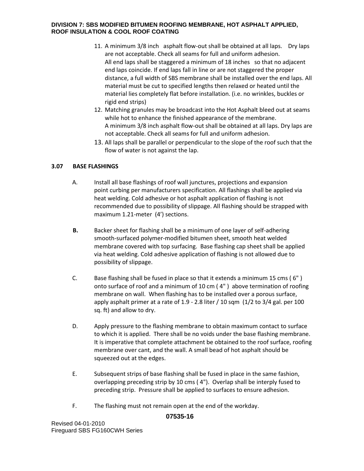- 11. A minimum 3/8 inch asphalt flow-out shall be obtained at all laps. Dry laps are not acceptable. Check all seams for full and uniform adhesion. All end laps shall be staggered a minimum of 18 inches so that no adjacent end laps coincide. If end laps fall in line or are not staggered the proper distance, a full width of SBS membrane shall be installed over the end laps. All material must be cut to specified lengths then relaxed or heated until the material lies completely flat before installation. (i.e. no wrinkles, buckles or rigid end strips)
- 12. Matching granules may be broadcast into the Hot Asphalt bleed out at seams while hot to enhance the finished appearance of the membrane. A minimum 3/8 inch asphalt flow-out shall be obtained at all laps. Dry laps are not acceptable. Check all seams for full and uniform adhesion.
- 13. All laps shall be parallel or perpendicular to the slope of the roof such that the flow of water is not against the lap.

# **3.07 BASE FLASHINGS**

- A. Install all base flashings of roof wall junctures, projections and expansion point curbing per manufacturers specification. All flashings shall be applied via heat welding. Cold adhesive or hot asphalt application of flashing is not recommended due to possibility of slippage. All flashing should be strapped with maximum 1.21-meter (4') sections.
- **B.** Backer sheet for flashing shall be a minimum of one layer of self-adhering smooth-surfaced polymer-modified bitumen sheet, smooth heat welded membrane covered with top surfacing. Base flashing cap sheet shall be applied via heat welding. Cold adhesive application of flashing is not allowed due to possibility of slippage.
- C. Base flashing shall be fused in place so that it extends a minimum 15 cms ( 6" ) onto surface of roof and a minimum of 10 cm ( 4" ) above termination of roofing membrane on wall. When flashing has to be installed over a porous surface, apply asphalt primer at a rate of 1.9 - 2.8 liter / 10 sqm (1/2 to 3/4 gal. per 100 sq. ft) and allow to dry.
- D. Apply pressure to the flashing membrane to obtain maximum contact to surface to which it is applied. There shall be no voids under the base flashing membrane. It is imperative that complete attachment be obtained to the roof surface, roofing membrane over cant, and the wall. A small bead of hot asphalt should be squeezed out at the edges.
- E. Subsequent strips of base flashing shall be fused in place in the same fashion, overlapping preceding strip by 10 cms ( 4"). Overlap shall be interply fused to preceding strip. Pressure shall be applied to surfaces to ensure adhesion.
- F. The flashing must not remain open at the end of the workday.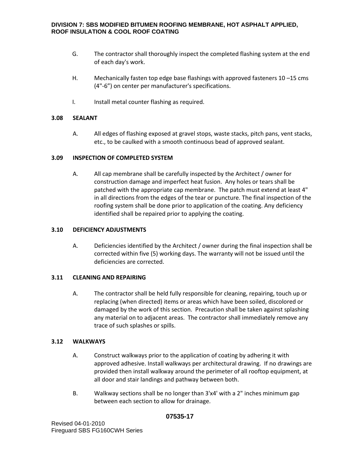- G. The contractor shall thoroughly inspect the completed flashing system at the end of each day's work.
- H. Mechanically fasten top edge base flashings with approved fasteners 10 –15 cms (4"-6") on center per manufacturer's specifications.
- I. Install metal counter flashing as required.

### **3.08 SEALANT**

A. All edges of flashing exposed at gravel stops, waste stacks, pitch pans, vent stacks, etc., to be caulked with a smooth continuous bead of approved sealant.

# **3.09 INSPECTION OF COMPLETED SYSTEM**

A. All cap membrane shall be carefully inspected by the Architect / owner for construction damage and imperfect heat fusion. Any holes or tears shall be patched with the appropriate cap membrane. The patch must extend at least 4" in all directions from the edges of the tear or puncture. The final inspection of the roofing system shall be done prior to application of the coating. Any deficiency identified shall be repaired prior to applying the coating.

# **3.10 DEFICIENCY ADJUSTMENTS**

A. Deficiencies identified by the Architect / owner during the final inspection shall be corrected within five (5) working days. The warranty will not be issued until the deficiencies are corrected.

# **3.11 CLEANING AND REPAIRING**

A. The contractor shall be held fully responsible for cleaning, repairing, touch up or replacing (when directed) items or areas which have been soiled, discolored or damaged by the work of this section. Precaution shall be taken against splashing any material on to adjacent areas. The contractor shall immediately remove any trace of such splashes or spills.

### **3.12 WALKWAYS**

- A. Construct walkways prior to the application of coating by adhering it with approved adhesive. Install walkways per architectural drawing. If no drawings are provided then install walkway around the perimeter of all rooftop equipment, at all door and stair landings and pathway between both.
- B. Walkway sections shall be no longer than 3'x4' with a 2" inches minimum gap between each section to allow for drainage.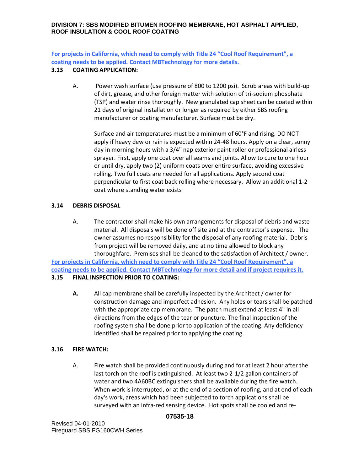**For projects in California, which need to comply with Title 24 "Cool Roof Requirement", a coating needs to be applied. Contact MBTechnology for more details.**

# **3.13 COATING APPLICATION:**

A. Power wash surface (use pressure of 800 to 1200 psi). Scrub areas with build-up of dirt, grease, and other foreign matter with solution of tri-sodium phosphate (TSP) and water rinse thoroughly. New granulated cap sheet can be coated within 21 days of original installation or longer as required by either SBS roofing manufacturer or coating manufacturer. Surface must be dry.

Surface and air temperatures must be a minimum of 60°F and rising. DO NOT apply if heavy dew or rain is expected within 24-48 hours. Apply on a clear, sunny day in morning hours with a 3/4" nap exterior paint roller or professional airless sprayer. First, apply one coat over all seams and joints. Allow to cure to one hour or until dry, apply two (2) uniform coats over entire surface, avoiding excessive rolling. Two full coats are needed for all applications. Apply second coat perpendicular to first coat back rolling where necessary. Allow an additional 1-2 coat where standing water exists

# **3.14 DEBRIS DISPOSAL**

A. The contractor shall make his own arrangements for disposal of debris and waste material. All disposals will be done off site and at the contractor's expense. The owner assumes no responsibility for the disposal of any roofing material. Debris from project will be removed daily, and at no time allowed to block any thoroughfare. Premises shall be cleaned to the satisfaction of Architect / owner.

**For projects in California, which need to comply with Title 24 "Cool Roof Requirement", a coating needs to be applied. Contact MBTechnology for more detail and if project requires it. 3.15 FINAL INSPECTION PRIOR TO COATING:**

**A.** All cap membrane shall be carefully inspected by the Architect / owner for construction damage and imperfect adhesion. Any holes or tears shall be patched with the appropriate cap membrane. The patch must extend at least 4" in all directions from the edges of the tear or puncture. The final inspection of the roofing system shall be done prior to application of the coating. Any deficiency identified shall be repaired prior to applying the coating.

# **3.16 FIRE WATCH:**

A. Fire watch shall be provided continuously during and for at least 2 hour after the last torch on the roof is extinguished. At least two 2-1/2 gallon containers of water and two 4A60BC extinguishers shall be available during the fire watch. When work is interrupted, or at the end of a section of roofing, and at end of each day's work, areas which had been subjected to torch applications shall be surveyed with an infra-red sensing device. Hot spots shall be cooled and re-